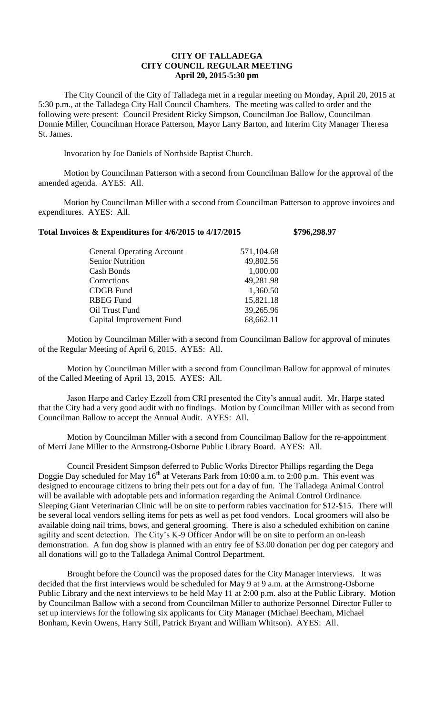## **CITY OF TALLADEGA CITY COUNCIL REGULAR MEETING April 20, 2015-5:30 pm**

The City Council of the City of Talladega met in a regular meeting on Monday, April 20, 2015 at 5:30 p.m., at the Talladega City Hall Council Chambers. The meeting was called to order and the following were present: Council President Ricky Simpson, Councilman Joe Ballow, Councilman Donnie Miller, Councilman Horace Patterson, Mayor Larry Barton, and Interim City Manager Theresa St. James.

Invocation by Joe Daniels of Northside Baptist Church.

Motion by Councilman Patterson with a second from Councilman Ballow for the approval of the amended agenda. AYES: All.

Motion by Councilman Miller with a second from Councilman Patterson to approve invoices and expenditures. AYES: All.

## **Total Invoices & Expenditures for 4/6/2015 to 4/17/2015 \$796,298.97**

| <b>General Operating Account</b> | 571,104.68 |
|----------------------------------|------------|
| <b>Senior Nutrition</b>          | 49,802.56  |
| Cash Bonds                       | 1,000.00   |
| Corrections                      | 49,281.98  |
| <b>CDGB</b> Fund                 | 1,360.50   |
| <b>RBEG Fund</b>                 | 15,821.18  |
| Oil Trust Fund                   | 39,265.96  |
| Capital Improvement Fund         | 68,662.11  |

Motion by Councilman Miller with a second from Councilman Ballow for approval of minutes of the Regular Meeting of April 6, 2015. AYES: All.

Motion by Councilman Miller with a second from Councilman Ballow for approval of minutes of the Called Meeting of April 13, 2015. AYES: All.

Jason Harpe and Carley Ezzell from CRI presented the City's annual audit. Mr. Harpe stated that the City had a very good audit with no findings. Motion by Councilman Miller with as second from Councilman Ballow to accept the Annual Audit. AYES: All.

Motion by Councilman Miller with a second from Councilman Ballow for the re-appointment of Merri Jane Miller to the Armstrong-Osborne Public Library Board. AYES: All.

Council President Simpson deferred to Public Works Director Phillips regarding the Dega Doggie Day scheduled for May 16<sup>th</sup> at Veterans Park from 10:00 a.m. to 2:00 p.m. This event was designed to encourage citizens to bring their pets out for a day of fun. The Talladega Animal Control will be available with adoptable pets and information regarding the Animal Control Ordinance. Sleeping Giant Veterinarian Clinic will be on site to perform rabies vaccination for \$12-\$15. There will be several local vendors selling items for pets as well as pet food vendors. Local groomers will also be available doing nail trims, bows, and general grooming. There is also a scheduled exhibition on canine agility and scent detection. The City's K-9 Officer Andor will be on site to perform an on-leash demonstration. A fun dog show is planned with an entry fee of \$3.00 donation per dog per category and all donations will go to the Talladega Animal Control Department.

Brought before the Council was the proposed dates for the City Manager interviews. It was decided that the first interviews would be scheduled for May 9 at 9 a.m. at the Armstrong-Osborne Public Library and the next interviews to be held May 11 at 2:00 p.m. also at the Public Library. Motion by Councilman Ballow with a second from Councilman Miller to authorize Personnel Director Fuller to set up interviews for the following six applicants for City Manager (Michael Beecham, Michael Bonham, Kevin Owens, Harry Still, Patrick Bryant and William Whitson). AYES: All.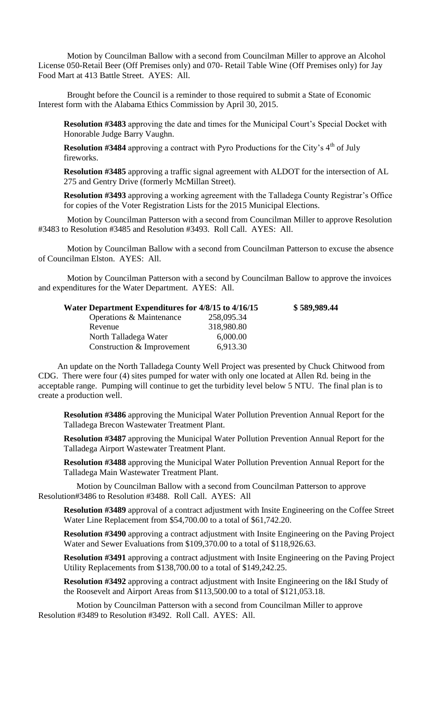Motion by Councilman Ballow with a second from Councilman Miller to approve an Alcohol License 050-Retail Beer (Off Premises only) and 070- Retail Table Wine (Off Premises only) for Jay Food Mart at 413 Battle Street. AYES: All.

Brought before the Council is a reminder to those required to submit a State of Economic Interest form with the Alabama Ethics Commission by April 30, 2015.

**Resolution #3483** approving the date and times for the Municipal Court's Special Docket with Honorable Judge Barry Vaughn.

**Resolution #3484** approving a contract with Pyro Productions for the City's 4<sup>th</sup> of July fireworks.

**Resolution #3485** approving a traffic signal agreement with ALDOT for the intersection of AL 275 and Gentry Drive (formerly McMillan Street).

**Resolution #3493** approving a working agreement with the Talladega County Registrar's Office for copies of the Voter Registration Lists for the 2015 Municipal Elections.

Motion by Councilman Patterson with a second from Councilman Miller to approve Resolution #3483 to Resolution #3485 and Resolution #3493. Roll Call. AYES: All.

Motion by Councilman Ballow with a second from Councilman Patterson to excuse the absence of Councilman Elston. AYES: All.

Motion by Councilman Patterson with a second by Councilman Ballow to approve the invoices and expenditures for the Water Department. AYES: All.

| Water Department Expenditures for 4/8/15 to 4/16/15 |            | \$589,989.44 |
|-----------------------------------------------------|------------|--------------|
| Operations & Maintenance                            | 258,095.34 |              |
| Revenue                                             | 318,980.80 |              |
| North Talladega Water                               | 6,000.00   |              |
| Construction & Improvement                          | 6,913.30   |              |

An update on the North Talladega County Well Project was presented by Chuck Chitwood from CDG. There were four (4) sites pumped for water with only one located at Allen Rd. being in the acceptable range. Pumping will continue to get the turbidity level below 5 NTU. The final plan is to create a production well.

**Resolution #3486** approving the Municipal Water Pollution Prevention Annual Report for the Talladega Brecon Wastewater Treatment Plant.

**Resolution #3487** approving the Municipal Water Pollution Prevention Annual Report for the Talladega Airport Wastewater Treatment Plant.

**Resolution #3488** approving the Municipal Water Pollution Prevention Annual Report for the Talladega Main Wastewater Treatment Plant.

Motion by Councilman Ballow with a second from Councilman Patterson to approve Resolution#3486 to Resolution #3488. Roll Call. AYES: All

**Resolution #3489** approval of a contract adjustment with Insite Engineering on the Coffee Street Water Line Replacement from \$54,700.00 to a total of \$61,742.20.

**Resolution #3490** approving a contract adjustment with Insite Engineering on the Paving Project Water and Sewer Evaluations from \$109,370.00 to a total of \$118,926.63.

**Resolution #3491** approving a contract adjustment with Insite Engineering on the Paving Project Utility Replacements from \$138,700.00 to a total of \$149,242.25.

**Resolution #3492** approving a contract adjustment with Insite Engineering on the I&I Study of the Roosevelt and Airport Areas from \$113,500.00 to a total of \$121,053.18.

Motion by Councilman Patterson with a second from Councilman Miller to approve Resolution #3489 to Resolution #3492. Roll Call. AYES: All.